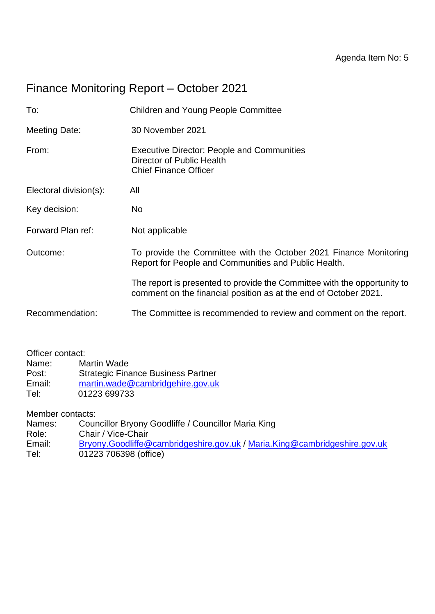# Finance Monitoring Report – October 2021

| To:                    | <b>Children and Young People Committee</b>                                                                                                   |  |  |  |
|------------------------|----------------------------------------------------------------------------------------------------------------------------------------------|--|--|--|
| <b>Meeting Date:</b>   | 30 November 2021                                                                                                                             |  |  |  |
| From:                  | <b>Executive Director: People and Communities</b><br>Director of Public Health<br><b>Chief Finance Officer</b>                               |  |  |  |
| Electoral division(s): | All                                                                                                                                          |  |  |  |
| Key decision:          | No.                                                                                                                                          |  |  |  |
| Forward Plan ref:      | Not applicable                                                                                                                               |  |  |  |
| Outcome:               | To provide the Committee with the October 2021 Finance Monitoring<br>Report for People and Communities and Public Health.                    |  |  |  |
|                        | The report is presented to provide the Committee with the opportunity to<br>comment on the financial position as at the end of October 2021. |  |  |  |
| Recommendation:        | The Committee is recommended to review and comment on the report.                                                                            |  |  |  |
|                        |                                                                                                                                              |  |  |  |

Officer contact:

Name: Martin Wade

Post: Strategic Finance Business Partner

- Email: [martin.wade@cambridgehire.gov.uk](mailto:martin.wade@cambridgehire.gov.uk)
- Tel: 01223 699733

Member contacts:

Names: Councillor Bryony Goodliffe / Councillor Maria King

Role: Chair / Vice-Chair<br>Email: Bryony.Goodliffe@

- [Bryony.Goodliffe@cambridgeshire.gov.uk](mailto:Bryony.Goodliffe@cambridgeshire.gov.uk) / [Maria.King@cambridgeshire.gov.uk](mailto:Maria.King@cambridgeshire.gov.uk)
- Tel: 01223 706398 (office)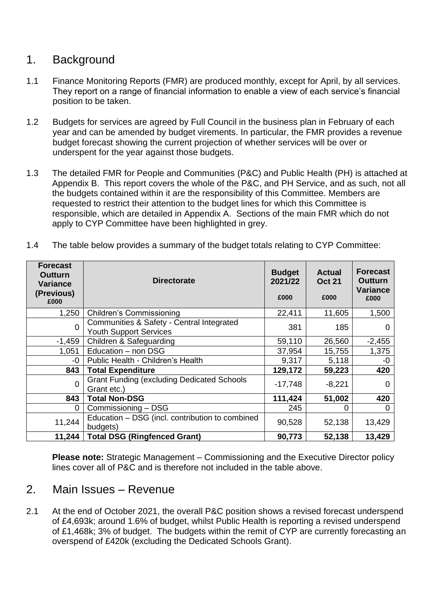### 1. Background

- 1.1 Finance Monitoring Reports (FMR) are produced monthly, except for April, by all services. They report on a range of financial information to enable a view of each service's financial position to be taken.
- 1.2 Budgets for services are agreed by Full Council in the business plan in February of each year and can be amended by budget virements. In particular, the FMR provides a revenue budget forecast showing the current projection of whether services will be over or underspent for the year against those budgets.
- 1.3 The detailed FMR for People and Communities (P&C) and Public Health (PH) is attached at Appendix B. This report covers the whole of the P&C, and PH Service, and as such, not all the budgets contained within it are the responsibility of this Committee. Members are requested to restrict their attention to the budget lines for which this Committee is responsible, which are detailed in Appendix A. Sections of the main FMR which do not apply to CYP Committee have been highlighted in grey.

| <b>Forecast</b><br>Outturn<br><b>Variance</b><br>(Previous)<br>£000 | <b>Directorate</b>                                                         | <b>Budget</b><br>2021/22<br>£000 | <b>Actual</b><br><b>Oct 21</b><br>£000 | <b>Forecast</b><br>Outturn<br>Variance<br>£000 |
|---------------------------------------------------------------------|----------------------------------------------------------------------------|----------------------------------|----------------------------------------|------------------------------------------------|
| 1,250                                                               | <b>Children's Commissioning</b>                                            | 22,411                           | 11,605                                 | 1,500                                          |
| $\Omega$                                                            | Communities & Safety - Central Integrated<br><b>Youth Support Services</b> | 381                              | 185                                    | 0                                              |
| $-1,459$                                                            | Children & Safeguarding                                                    | 59,110                           | 26,560                                 | $-2,455$                                       |
| 1,051                                                               | Education - non DSG                                                        | 37,954                           | 15,755                                 | 1,375                                          |
| -0                                                                  | Public Health - Children's Health                                          | 9,317                            | 5,118                                  | -0                                             |
| 843                                                                 | <b>Total Expenditure</b>                                                   | 129,172                          | 59,223                                 | 420                                            |
| $\Omega$                                                            | <b>Grant Funding (excluding Dedicated Schools</b><br>Grant etc.)           | $-17,748$                        | $-8,221$                               | $\Omega$                                       |
| 843                                                                 | <b>Total Non-DSG</b>                                                       | 111,424                          | 51,002                                 | 420                                            |
| $\Omega$                                                            | Commissioning - DSG                                                        | 245                              | ი                                      | 0                                              |
| 11,244                                                              | Education - DSG (incl. contribution to combined<br>budgets)                | 90,528                           | 52,138                                 | 13,429                                         |
| 11,244                                                              | <b>Total DSG (Ringfenced Grant)</b>                                        | 90,773                           | 52,138                                 | 13,429                                         |

1.4 The table below provides a summary of the budget totals relating to CYP Committee:

**Please note:** Strategic Management – Commissioning and the Executive Director policy lines cover all of P&C and is therefore not included in the table above.

### 2. Main Issues – Revenue

2.1 At the end of October 2021, the overall P&C position shows a revised forecast underspend of £4,693k; around 1.6% of budget, whilst Public Health is reporting a revised underspend of £1,468k; 3% of budget. The budgets within the remit of CYP are currently forecasting an overspend of £420k (excluding the Dedicated Schools Grant).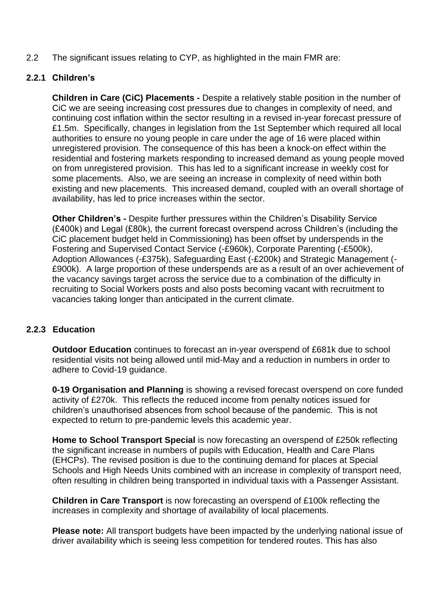2.2 The significant issues relating to CYP, as highlighted in the main FMR are:

#### **2.2.1 Children's**

**Children in Care (CiC) Placements -** Despite a relatively stable position in the number of CiC we are seeing increasing cost pressures due to changes in complexity of need, and continuing cost inflation within the sector resulting in a revised in-year forecast pressure of £1.5m. Specifically, changes in legislation from the 1st September which required all local authorities to ensure no young people in care under the age of 16 were placed within unregistered provision. The consequence of this has been a knock-on effect within the residential and fostering markets responding to increased demand as young people moved on from unregistered provision. This has led to a significant increase in weekly cost for some placements. Also, we are seeing an increase in complexity of need within both existing and new placements. This increased demand, coupled with an overall shortage of availability, has led to price increases within the sector.

**Other Children's -** Despite further pressures within the Children's Disability Service (£400k) and Legal (£80k), the current forecast overspend across Children's (including the CiC placement budget held in Commissioning) has been offset by underspends in the Fostering and Supervised Contact Service (-£960k), Corporate Parenting (-£500k), Adoption Allowances (-£375k), Safeguarding East (-£200k) and Strategic Management (- £900k). A large proportion of these underspends are as a result of an over achievement of the vacancy savings target across the service due to a combination of the difficulty in recruiting to Social Workers posts and also posts becoming vacant with recruitment to vacancies taking longer than anticipated in the current climate.

#### **2.2.3 Education**

**Outdoor Education** continues to forecast an in-year overspend of £681k due to school residential visits not being allowed until mid-May and a reduction in numbers in order to adhere to Covid-19 guidance.

**0-19 Organisation and Planning** is showing a revised forecast overspend on core funded activity of £270k. This reflects the reduced income from penalty notices issued for children's unauthorised absences from school because of the pandemic. This is not expected to return to pre-pandemic levels this academic year.

**Home to School Transport Special** is now forecasting an overspend of £250k reflecting the significant increase in numbers of pupils with Education, Health and Care Plans (EHCPs). The revised position is due to the continuing demand for places at Special Schools and High Needs Units combined with an increase in complexity of transport need, often resulting in children being transported in individual taxis with a Passenger Assistant.

**Children in Care Transport** is now forecasting an overspend of £100k reflecting the increases in complexity and shortage of availability of local placements.

**Please note:** All transport budgets have been impacted by the underlying national issue of driver availability which is seeing less competition for tendered routes. This has also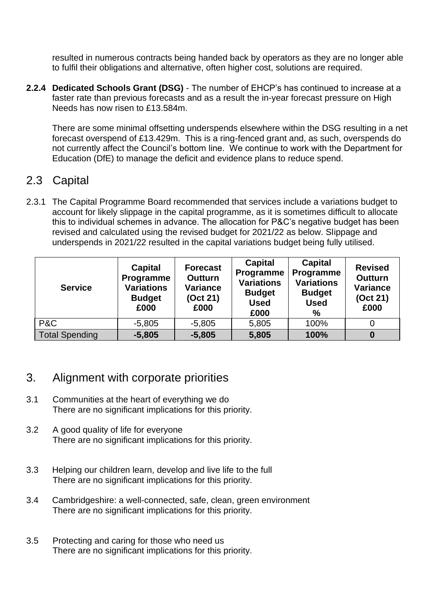resulted in numerous contracts being handed back by operators as they are no longer able to fulfil their obligations and alternative, often higher cost, solutions are required.

**2.2.4 Dedicated Schools Grant (DSG)** - The number of EHCP's has continued to increase at a faster rate than previous forecasts and as a result the in-year forecast pressure on High Needs has now risen to £13.584m.

There are some minimal offsetting underspends elsewhere within the DSG resulting in a net forecast overspend of £13.429m. This is a ring-fenced grant and, as such, overspends do not currently affect the Council's bottom line. We continue to work with the Department for Education (DfE) to manage the deficit and evidence plans to reduce spend.

## 2.3 Capital

2.3.1 The Capital Programme Board recommended that services include a variations budget to account for likely slippage in the capital programme, as it is sometimes difficult to allocate this to individual schemes in advance. The allocation for P&C's negative budget has been revised and calculated using the revised budget for 2021/22 as below. Slippage and underspends in 2021/22 resulted in the capital variations budget being fully utilised.

| <b>Service</b>        | <b>Capital</b><br>Programme<br><b>Variations</b><br><b>Budget</b><br>£000 | <b>Forecast</b><br><b>Outturn</b><br><b>Variance</b><br>(Oct 21)<br>£000 | Capital<br>Programme<br><b>Variations</b><br><b>Budget</b><br><b>Used</b><br>£000 | <b>Capital</b><br>Programme<br><b>Variations</b><br><b>Budget</b><br><b>Used</b><br>% | <b>Revised</b><br><b>Outturn</b><br><b>Variance</b><br>(Oct 21)<br>£000 |
|-----------------------|---------------------------------------------------------------------------|--------------------------------------------------------------------------|-----------------------------------------------------------------------------------|---------------------------------------------------------------------------------------|-------------------------------------------------------------------------|
| P&C                   | $-5,805$                                                                  | $-5,805$                                                                 | 5,805                                                                             | 100%                                                                                  |                                                                         |
| <b>Total Spending</b> | $-5,805$                                                                  | $-5,805$                                                                 | 5,805                                                                             | 100%                                                                                  |                                                                         |

## 3. Alignment with corporate priorities

- 3.1 Communities at the heart of everything we do There are no significant implications for this priority.
- 3.2 A good quality of life for everyone There are no significant implications for this priority.
- 3.3 Helping our children learn, develop and live life to the full There are no significant implications for this priority.
- 3.4 Cambridgeshire: a well-connected, safe, clean, green environment There are no significant implications for this priority.
- 3.5 Protecting and caring for those who need us There are no significant implications for this priority.